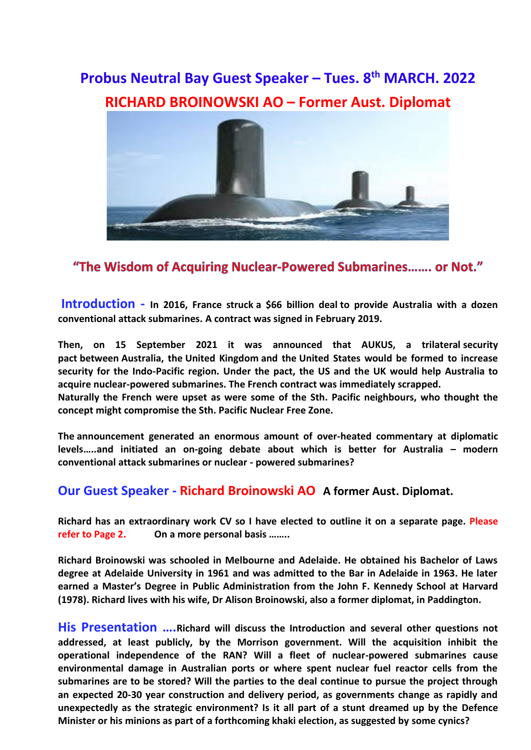# **Probus Neutral Bay Guest Speaker – Tues. 8 th MARCH. 2022 RICHARD BROINOWSKI AO – Former Aust. Diplomat**



## "The Wisdom of Acquiring Nuclear-Powered Submarines....... or Not."

**Introduction - In 2016, France struck a \$66 billion deal to provide Australia with a dozen conventional attack submarines. A contract was signed in February 2019.**

**Then, on 15 September 2021 it was announced that AUKUS, a trilateral [security](https://en.wikipedia.org/wiki/Defense_pact)  [pact](https://en.wikipedia.org/wiki/Defense_pact) between [Australia,](https://en.wikipedia.org/wiki/Australia) the [United Kingdom](https://en.wikipedia.org/wiki/United_Kingdom) and the [United States](https://en.wikipedia.org/wiki/United_States) would be formed to increase security for the Indo-Pacific region. Under the pact, the US and the UK would help Australia to acquire nuclear-powered submarines. The French contract was immediately scrapped.**

**Naturally the French were upset as were some of the Sth. Pacific neighbours, who thought the concept might compromise the Sth. Pacific Nuclear Free Zone.**

**The [announcement](https://thediplomat.com/2021/09/the-aukus-nuclear-submarine-deal-unanswered-questions-for-australia/#_top) generated an enormous amount of over-heated commentary at diplomatic levels…..and initiated an on-going debate about which is better for Australia – modern conventional attack submarines or nuclear - powered submarines?**

#### **Our Guest Speaker - Richard Broinowski AO A former Aust. Diplomat.**

**Richard has an extraordinary work CV so I have elected to outline it on a separate page. Please refer to Page 2. On a more personal basis ……..**

**Richard Broinowski was schooled in Melbourne and Adelaide. He obtained his Bachelor of Laws degree at Adelaide University in 1961 and was admitted to the Bar in Adelaide in 1963. He later earned a Master's Degree in Public Administration from the John F. Kennedy School at Harvard (1978). Richard lives with his wife, Dr Alison Broinowski, also a former diplomat, in Paddington.**

**His Presentation ….Richard will discuss the Introduction and several other questions not addressed, at least publicly, by the Morrison government. Will the acquisition inhibit the operational independence of the RAN? Will a fleet of nuclear-powered submarines cause environmental damage in Australian ports or where spent nuclear fuel reactor cells from the submarines are to be stored? Will the parties to the deal continue to pursue the project through an expected 20-30 year construction and delivery period, as governments change as rapidly and unexpectedly as the strategic environment? Is it all part of a stunt dreamed up by the Defence Minister or his minions as part of a forthcoming khaki election, as suggested by some cynics?**